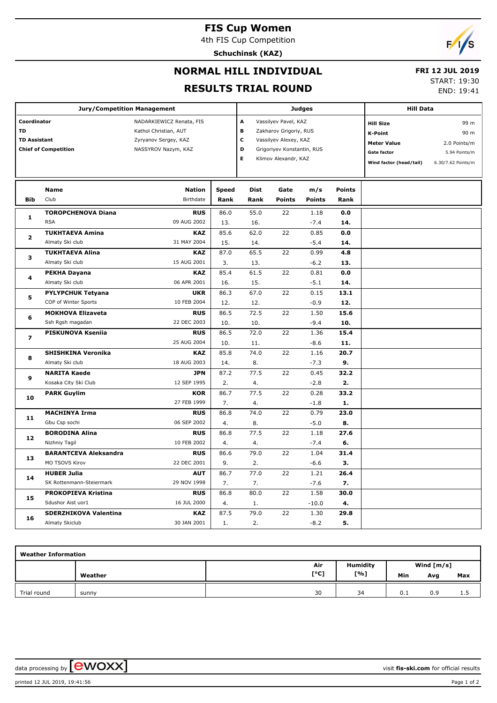# **FIS Cup Women**

4th FIS Cup Competition

**Schuchinsk (KAZ)**



## **NORMAL HILL INDIVIDUAL**

### **FRI 12 JUL 2019**

#### **RESULTS TRIAL ROUND**

START: 19:30

END: 19:41

|                         | <b>Jury/Competition Management</b> |                          |              | <b>Judges</b>          | <b>Hill Data</b>           |               |                    |                         |                    |
|-------------------------|------------------------------------|--------------------------|--------------|------------------------|----------------------------|---------------|--------------------|-------------------------|--------------------|
| Coordinator             |                                    | NADARKIEWICZ Renata, FIS |              | A                      | Vassilyev Pavel, KAZ       |               |                    | <b>Hill Size</b>        | 99 m               |
| <b>TD</b>               |                                    | Kathol Christian, AUT    | В            | Zakharov Grigoriy, RUS |                            |               | <b>K-Point</b>     | 90 m                    |                    |
| <b>TD Assistant</b>     |                                    | Zyryanov Sergey, KAZ     |              | c                      | Vassilyev Alexey, KAZ      |               |                    | <b>Meter Value</b>      | 2.0 Points/m       |
|                         | <b>Chief of Competition</b>        | NASSYROV Nazym, KAZ      |              | D                      | Grigoriyev Konstantin, RUS |               | <b>Gate factor</b> | 5.94 Points/m           |                    |
|                         |                                    |                          |              | E                      | Klimov Alexandr, KAZ       |               |                    | Wind factor (head/tail) | 6.30/7.62 Points/m |
|                         |                                    |                          |              |                        |                            |               |                    |                         |                    |
|                         |                                    |                          |              |                        |                            |               |                    |                         |                    |
|                         | Name                               | <b>Nation</b>            | <b>Speed</b> | <b>Dist</b>            | Gate                       | m/s           | <b>Points</b>      |                         |                    |
| <b>Bib</b>              | Club                               | Birthdate                | Rank         | Rank                   | <b>Points</b>              | <b>Points</b> | Rank               |                         |                    |
| 1                       | <b>TOROPCHENOVA Diana</b>          | <b>RUS</b>               | 86.0         | 55.0                   | 22                         | 1.18          | 0.0                |                         |                    |
|                         | <b>RSA</b>                         | 09 AUG 2002              | 13.          | 16.                    |                            | $-7.4$        | 14.                |                         |                    |
| $\overline{\mathbf{2}}$ | <b>TUKHTAEVA Amina</b>             | <b>KAZ</b>               | 85.6         | 62.0                   | 22                         | 0.85          | 0.0                |                         |                    |
|                         | Almaty Ski club                    | 31 MAY 2004              | 15.          | 14.                    |                            | $-5.4$        | 14.                |                         |                    |
| з                       | <b>TUKHTAEVA Alina</b>             | <b>KAZ</b>               | 87.0         | 65.5                   | 22                         | 0.99          | 4.8                |                         |                    |
|                         | Almaty Ski club                    | 15 AUG 2001              | 3.           | 13.                    |                            | $-6.2$        | 13.                |                         |                    |
| 4                       | <b>PEKHA Dayana</b>                | <b>KAZ</b>               | 85.4         | 61.5                   | 22                         | 0.81          | 0.0                |                         |                    |
|                         | Almaty Ski club                    | 06 APR 2001              | 16.          | 15.                    |                            | $-5.1$        | 14.                |                         |                    |
| 5                       | <b>PYLYPCHUK Tetyana</b>           | <b>UKR</b>               | 86.3         | 67.0                   | 22                         | 0.15          | 13.1               |                         |                    |
|                         | COP of Winter Sports               | 10 FEB 2004              | 12.          | 12.                    |                            | $-0.9$        | 12.                |                         |                    |
| 6                       | <b>MOKHOVA Elizaveta</b>           | <b>RUS</b>               | 86.5         | 72.5                   | 22                         | 1.50          | 15.6               |                         |                    |
|                         | Ssh Rgsh magadan                   | 22 DEC 2003              | 10.          | 10.                    |                            | $-9.4$        | 10.                |                         |                    |
|                         | PISKUNOVA Kseniia                  | <b>RUS</b>               | 86.5         | 72.0                   | 22                         | 1.36          | 15.4               |                         |                    |
| $\overline{\mathbf{z}}$ |                                    | 25 AUG 2004              | 10.          | 11.                    |                            | $-8.6$        | 11.                |                         |                    |
| 8                       | <b>SHISHKINA Veronika</b>          | <b>KAZ</b>               | 85.8         | 74.0                   | 22                         | 1.16          | 20.7               |                         |                    |
|                         | Almaty Ski club                    | 18 AUG 2003              | 14.          | 8.                     |                            | $-7.3$        | 9.                 |                         |                    |
|                         | <b>NARITA Kaede</b>                | <b>JPN</b>               | 87.2         | 77.5                   | 22                         | 0.45          | 32.2               |                         |                    |
| 9                       | Kosaka City Ski Club               | 12 SEP 1995              | 2.           | 4.                     |                            | $-2.8$        | 2.                 |                         |                    |
|                         | <b>PARK Guylim</b>                 | <b>KOR</b>               | 86.7         | 77.5                   | 22                         | 0.28          | 33.2               |                         |                    |
| 10                      |                                    | 27 FEB 1999              | 7.           | 4.                     |                            | $-1.8$        | 1.                 |                         |                    |
|                         | <b>MACHINYA Irma</b>               | <b>RUS</b>               | 86.8         | 74.0                   | 22                         | 0.79          | 23.0               |                         |                    |
| 11                      | Gbu Csp sochi                      | 06 SEP 2002              | 4.           | 8.                     |                            | $-5.0$        | 8.                 |                         |                    |
|                         | <b>BORODINA Alina</b>              | <b>RUS</b>               | 86.8         | 77.5                   | 22                         | 1.18          | 27.6               |                         |                    |
| 12                      | Nizhniy Tagil                      | 10 FEB 2002              | 4.           | 4.                     |                            | $-7.4$        | 6.                 |                         |                    |
|                         | <b>BARANTCEVA Aleksandra</b>       | <b>RUS</b>               | 86.6         | 79.0                   | 22                         | 1.04          | 31.4               |                         |                    |
| 13                      | MO TSOVS Kirov                     | 22 DEC 2001              | 9.           | 2.                     |                            | $-6.6$        | з.                 |                         |                    |
|                         | <b>HUBER Julia</b>                 | <b>AUT</b>               | 86.7         | 77.0                   | 22                         | 1.21          | 26.4               |                         |                    |
| 14                      | SK Rottenmann-Steiermark           | 29 NOV 1998              | 7.           | 7.                     |                            | $-7.6$        | 7.                 |                         |                    |
|                         | PROKOPIEVA Kristina                | <b>RUS</b>               | 86.8         | 80.0                   | 22                         | 1.58          | 30.0               |                         |                    |
| 15                      | Sdushor Aist uor1                  | 16 JUL 2000              | 4.           | 1.                     |                            | $-10.0$       | 4.                 |                         |                    |
|                         | <b>SDERZHIKOVA Valentina</b>       | <b>KAZ</b>               | 87.5         | 79.0                   | 22                         | 1.30          | 29.8               |                         |                    |
| 16                      | Almaty Skiclub                     | 30 JAN 2001              | 1.           | 2.                     |                            | $-8.2$        | 5.                 |                         |                    |

| <b>Weather Information</b> |         |      |                 |              |     |     |  |  |  |  |
|----------------------------|---------|------|-----------------|--------------|-----|-----|--|--|--|--|
|                            |         | Air  | <b>Humidity</b> | Wind $[m/s]$ |     |     |  |  |  |  |
|                            | Weather | [°C] | [%]             | Min          | Avg | Max |  |  |  |  |
| Trial round                | sunny   | 30   | 34              | 0.1          | 0.9 | 1.5 |  |  |  |  |

data processing by **CWOXX**  $\blacksquare$ 

printed 12 JUL 2019, 19:41:56 Page 1 of 2